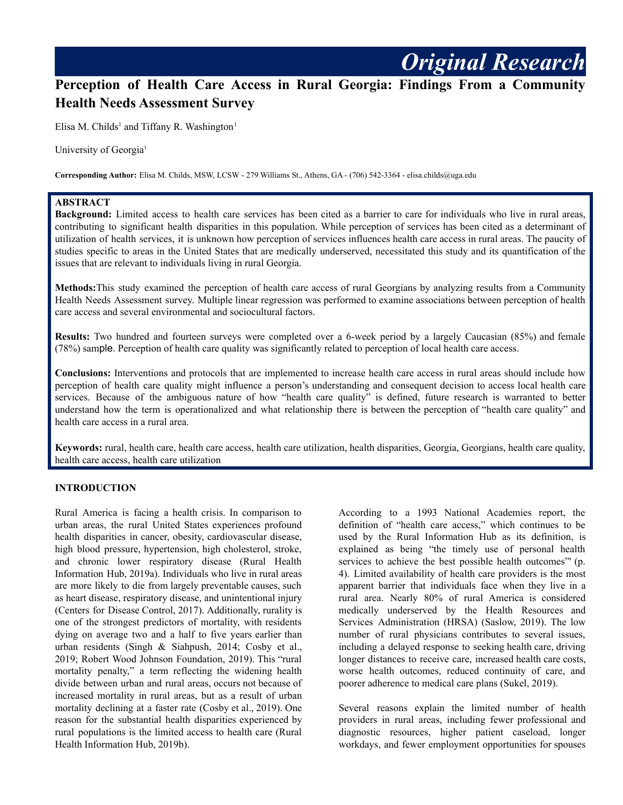# **Perception of Health Care Access in Rural Georgia: Findings From a Community Health Needs Assessment Survey**

Elisa M. Childs<sup>1</sup> and Tiffany R. Washington<sup>1</sup>

University of Georgia<sup>1</sup>

**Corresponding Author:** Elisa M. Childs, MSW, LCSW - 279 Williams St., Athens, GA - (706) 542-3364 - elisa.childs@uga.edu

## **ABSTRACT**

**Background:** Limited access to health care services has been cited as a barrier to care for individuals who live in rural areas, contributing to significant health disparities in this population. While perception of services has been cited as a determinant of utilization of health services, it is unknown how perception of services influences health care access in rural areas. The paucity of studies specific to areas in the United States that are medically underserved, necessitated this study and its quantification of the issues that are relevant to individuals living in rural Georgia.

**Methods:**This study examined the perception of health care access of rural Georgians by analyzing results from a Community Health Needs Assessment survey. Multiple linear regression was performed to examine associations between perception of health care access and several environmental and sociocultural factors.

**Results:** Two hundred and fourteen surveys were completed over a 6-week period by a largely Caucasian (85%) and female (78%) sample. Perception of health care quality was significantly related to perception of local health care access.

**Conclusions:** Interventions and protocols that are implemented to increase health care access in rural areas should include how perception of health care quality might influence a person's understanding and consequent decision to access local health care services. Because of the ambiguous nature of how "health care quality" is defined, future research is warranted to better understand how the term is operationalized and what relationship there is between the perception of "health care quality" and health care access in a rural area.

**Keywords:** rural, health care, health care access, health care utilization, health disparities, Georgia, Georgians, health care quality, health care access, health care utilization

#### **INTRODUCTION**

Rural America is facing a health crisis. In comparison to urban areas, the rural United States experiences profound health disparities in cancer, obesity, cardiovascular disease, high blood pressure, hypertension, high cholesterol, stroke, and chronic lower respiratory disease (Rural Health Information Hub, 2019a). Individuals who live in rural areas are more likely to die from largely preventable causes, such as heart disease, respiratory disease, and unintentional injury (Centers for Disease Control, 2017). Additionally, rurality is one of the strongest predictors of mortality, with residents dying on average two and a half to five years earlier than urban residents (Singh & Siahpush, 2014; Cosby et al., 2019; Robert Wood Johnson Foundation, 2019). This "rural mortality penalty," a term reflecting the widening health divide between urban and rural areas, occurs not because of increased mortality in rural areas, but as a result of urban mortality declining at a faster rate (Cosby et al., 2019). One reason for the substantial health disparities experienced by rural populations is the limited access to health care (Rural Health Information Hub, 2019b).

According to a 1993 National Academies report, the definition of "health care access," which continues to be used by the Rural Information Hub as its definition, is explained as being "the timely use of personal health services to achieve the best possible health outcomes"' (p. 4). Limited availability of health care providers is the most apparent barrier that individuals face when they live in a rural area. Nearly 80% of rural America is considered medically underserved by the Health Resources and Services Administration (HRSA) (Saslow, 2019). The low number of rural physicians contributes to several issues, including a delayed response to seeking health care, driving longer distances to receive care, increased health care costs, worse health outcomes, reduced continuity of care, and poorer adherence to medical care plans (Sukel, 2019).

*Original Research*

Several reasons explain the limited number of health providers in rural areas, including fewer professional and diagnostic resources, higher patient caseload, longer workdays, and fewer employment opportunities for spouses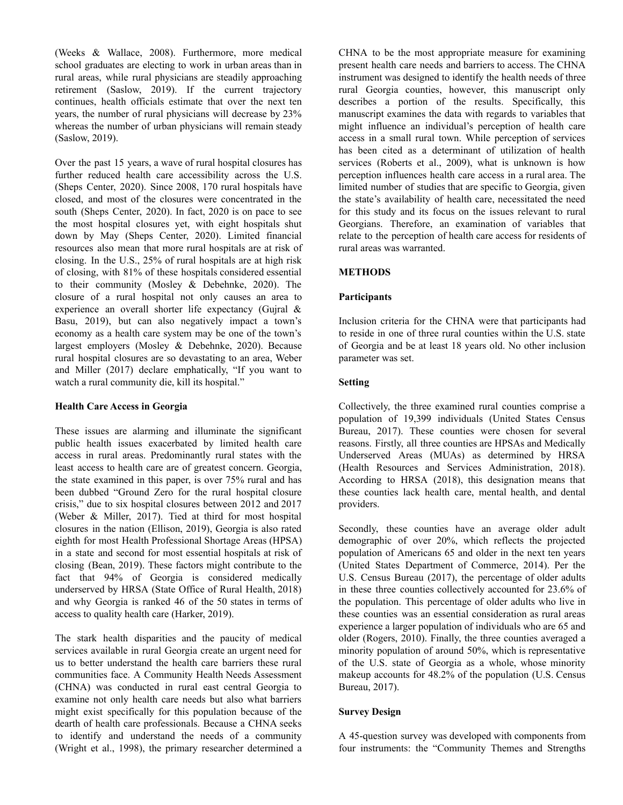(Weeks & Wallace, 2008). Furthermore, more medical school graduates are electing to work in urban areas than in rural areas, while rural physicians are steadily approaching retirement (Saslow, 2019). If the current trajectory continues, health officials estimate that over the next ten years, the number of rural physicians will decrease by 23% whereas the number of urban physicians will remain steady (Saslow, 2019).

Over the past 15 years, a wave of rural hospital closures has further reduced health care accessibility across the U.S. (Sheps Center, 2020). Since 2008, 170 rural hospitals have closed, and most of the closures were concentrated in the south (Sheps Center, 2020). In fact, 2020 is on pace to see the most hospital closures yet, with eight hospitals shut down by May (Sheps Center, 2020). Limited financial resources also mean that more rural hospitals are at risk of closing. In the U.S., 25% of rural hospitals are at high risk of closing, with 81% of these hospitals considered essential to their community (Mosley & Debehnke, 2020). The closure of a rural hospital not only causes an area to experience an overall shorter life expectancy (Gujral & Basu, 2019), but can also negatively impact a town's economy as a health care system may be one of the town's largest employers (Mosley & Debehnke, 2020). Because rural hospital closures are so devastating to an area, Weber and Miller (2017) declare emphatically, "If you want to watch a rural community die, kill its hospital."

### **Health Care Access in Georgia**

These issues are alarming and illuminate the significant public health issues exacerbated by limited health care access in rural areas. Predominantly rural states with the least access to health care are of greatest concern. Georgia, the state examined in this paper, is over 75% rural and has been dubbed "Ground Zero for the rural hospital closure crisis," due to six hospital closures between 2012 and 2017 (Weber & Miller, 2017). Tied at third for most hospital closures in the nation (Ellison, 2019), Georgia is also rated eighth for most Health Professional Shortage Areas (HPSA) in a state and second for most essential hospitals at risk of closing (Bean, 2019). These factors might contribute to the fact that 94% of Georgia is considered medically underserved by HRSA (State Office of Rural Health, 2018) and why Georgia is ranked 46 of the 50 states in terms of access to quality health care (Harker, 2019).

The stark health disparities and the paucity of medical services available in rural Georgia create an urgent need for us to better understand the health care barriers these rural communities face. A Community Health Needs Assessment (CHNA) was conducted in rural east central Georgia to examine not only health care needs but also what barriers might exist specifically for this population because of the dearth of health care professionals. Because a CHNA seeks to identify and understand the needs of a community (Wright et al., 1998), the primary researcher determined a CHNA to be the most appropriate measure for examining present health care needs and barriers to access. The CHNA instrument was designed to identify the health needs of three rural Georgia counties, however, this manuscript only describes a portion of the results. Specifically, this manuscript examines the data with regards to variables that might influence an individual's perception of health care access in a small rural town. While perception of services has been cited as a determinant of utilization of health services (Roberts et al., 2009), what is unknown is how perception influences health care access in a rural area. The limited number of studies that are specific to Georgia, given the state's availability of health care, necessitated the need for this study and its focus on the issues relevant to rural Georgians. Therefore, an examination of variables that relate to the perception of health care access for residents of rural areas was warranted.

#### **METHODS**

#### **Participants**

Inclusion criteria for the CHNA were that participants had to reside in one of three rural counties within the U.S. state of Georgia and be at least 18 years old. No other inclusion parameter was set.

#### **Setting**

Collectively, the three examined rural counties comprise a population of 19,399 individuals (United States Census Bureau, 2017). These counties were chosen for several reasons. Firstly, all three counties are HPSAs and Medically Underserved Areas (MUAs) as determined by HRSA (Health Resources and Services Administration, 2018). According to HRSA (2018), this designation means that these counties lack health care, mental health, and dental providers.

Secondly, these counties have an average older adult demographic of over 20%, which reflects the projected population of Americans 65 and older in the next ten years (United States Department of Commerce, 2014). Per the U.S. Census Bureau (2017), the percentage of older adults in these three counties collectively accounted for 23.6% of the population. This percentage of older adults who live in these counties was an essential consideration as rural areas experience a larger population of individuals who are 65 and older (Rogers, 2010). Finally, the three counties averaged a minority population of around 50%, which is representative of the U.S. state of Georgia as a whole, whose minority makeup accounts for 48.2% of the population (U.S. Census Bureau, 2017).

### **Survey Design**

A 45-question survey was developed with components from four instruments: the "Community Themes and Strengths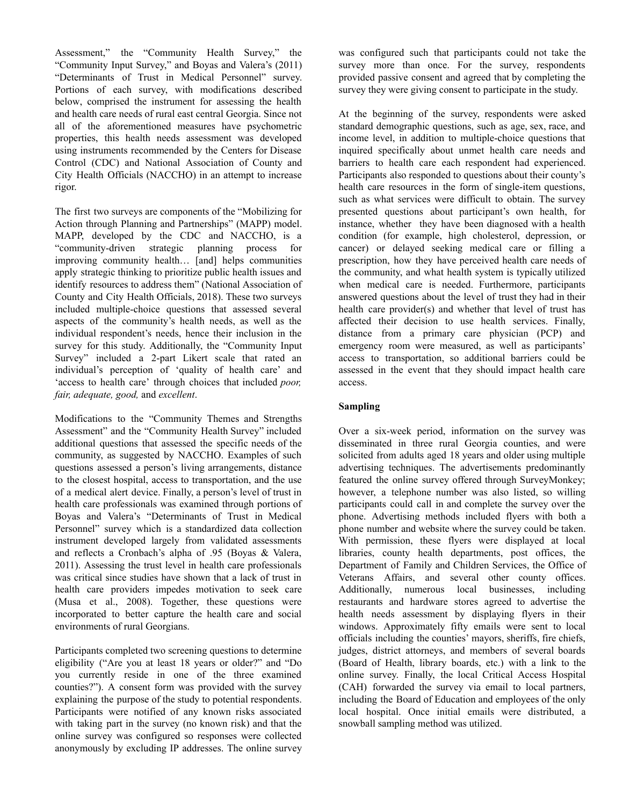Assessment," the "Community Health Survey," the "Community Input Survey," and Boyas and Valera's (2011) "Determinants of Trust in Medical Personnel" survey. Portions of each survey, with modifications described below, comprised the instrument for assessing the health and health care needs of rural east central Georgia. Since not all of the aforementioned measures have psychometric properties, this health needs assessment was developed using instruments recommended by the Centers for Disease Control (CDC) and National Association of County and City Health Officials (NACCHO) in an attempt to increase rigor.

The first two surveys are components of the "Mobilizing for Action through Planning and Partnerships" (MAPP) model. MAPP, developed by the CDC and NACCHO, is a "community-driven strategic planning process for improving community health… [and] helps communities apply strategic thinking to prioritize public health issues and identify resources to address them" (National Association of County and City Health Officials, 2018). These two surveys included multiple-choice questions that assessed several aspects of the community's health needs, as well as the individual respondent's needs, hence their inclusion in the survey for this study. Additionally, the "Community Input Survey" included a 2-part Likert scale that rated an individual's perception of 'quality of health care' and 'access to health care' through choices that included *poor, fair, adequate, good,* and *excellent*.

Modifications to the "Community Themes and Strengths Assessment" and the "Community Health Survey" included additional questions that assessed the specific needs of the community, as suggested by NACCHO. Examples of such questions assessed a person's living arrangements, distance to the closest hospital, access to transportation, and the use of a medical alert device. Finally, a person's level of trust in health care professionals was examined through portions of Boyas and Valera's "Determinants of Trust in Medical Personnel" survey which is a standardized data collection instrument developed largely from validated assessments and reflects a Cronbach's alpha of .95 (Boyas & Valera, 2011). Assessing the trust level in health care professionals was critical since studies have shown that a lack of trust in health care providers impedes motivation to seek care (Musa et al., 2008). Together, these questions were incorporated to better capture the health care and social environments of rural Georgians.

Participants completed two screening questions to determine eligibility ("Are you at least 18 years or older?" and "Do you currently reside in one of the three examined counties?"). A consent form was provided with the survey explaining the purpose of the study to potential respondents. Participants were notified of any known risks associated with taking part in the survey (no known risk) and that the online survey was configured so responses were collected anonymously by excluding IP addresses. The online survey

was configured such that participants could not take the survey more than once. For the survey, respondents provided passive consent and agreed that by completing the survey they were giving consent to participate in the study.

At the beginning of the survey, respondents were asked standard demographic questions, such as age, sex, race, and income level, in addition to multiple-choice questions that inquired specifically about unmet health care needs and barriers to health care each respondent had experienced. Participants also responded to questions about their county's health care resources in the form of single-item questions, such as what services were difficult to obtain. The survey presented questions about participant's own health, for instance, whether they have been diagnosed with a health condition (for example, high cholesterol, depression, or cancer) or delayed seeking medical care or filling a prescription, how they have perceived health care needs of the community, and what health system is typically utilized when medical care is needed. Furthermore, participants answered questions about the level of trust they had in their health care provider(s) and whether that level of trust has affected their decision to use health services. Finally, distance from a primary care physician (PCP) and emergency room were measured, as well as participants' access to transportation, so additional barriers could be assessed in the event that they should impact health care access.

# **Sampling**

Over a six-week period, information on the survey was disseminated in three rural Georgia counties, and were solicited from adults aged 18 years and older using multiple advertising techniques. The advertisements predominantly featured the online survey offered through SurveyMonkey; however, a telephone number was also listed, so willing participants could call in and complete the survey over the phone. Advertising methods included flyers with both a phone number and website where the survey could be taken. With permission, these flyers were displayed at local libraries, county health departments, post offices, the Department of Family and Children Services, the Office of Veterans Affairs, and several other county offices. Additionally, numerous local businesses, including restaurants and hardware stores agreed to advertise the health needs assessment by displaying flyers in their windows. Approximately fifty emails were sent to local officials including the counties' mayors, sheriffs, fire chiefs, judges, district attorneys, and members of several boards (Board of Health, library boards, etc.) with a link to the online survey. Finally, the local Critical Access Hospital (CAH) forwarded the survey via email to local partners, including the Board of Education and employees of the only local hospital. Once initial emails were distributed, a snowball sampling method was utilized.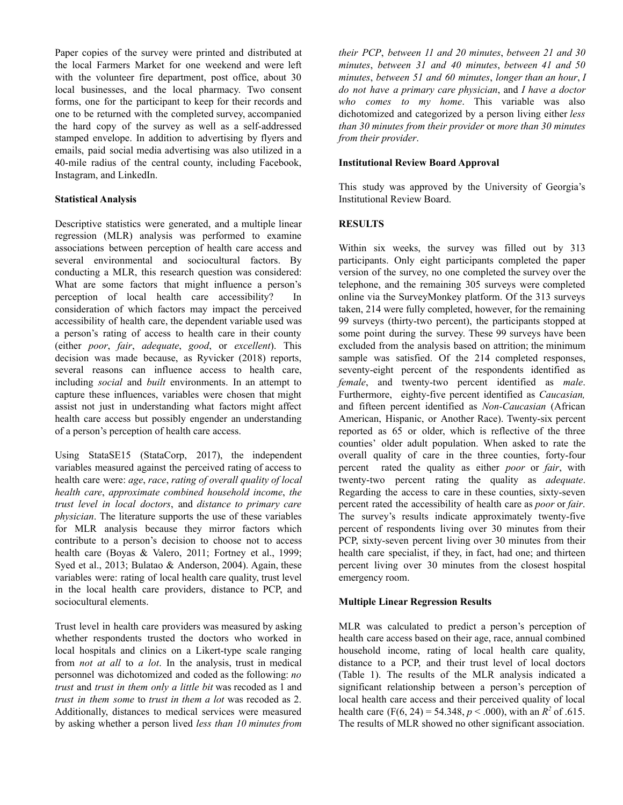Paper copies of the survey were printed and distributed at the local Farmers Market for one weekend and were left with the volunteer fire department, post office, about 30 local businesses, and the local pharmacy. Two consent forms, one for the participant to keep for their records and one to be returned with the completed survey, accompanied the hard copy of the survey as well as a self-addressed stamped envelope. In addition to advertising by flyers and emails, paid social media advertising was also utilized in a 40-mile radius of the central county, including Facebook, Instagram, and LinkedIn.

## **Statistical Analysis**

Descriptive statistics were generated, and a multiple linear regression (MLR) analysis was performed to examine associations between perception of health care access and several environmental and sociocultural factors. By conducting a MLR, this research question was considered: What are some factors that might influence a person's perception of local health care accessibility? In consideration of which factors may impact the perceived accessibility of health care, the dependent variable used was a person's rating of access to health care in their county (either *poor*, *fair*, *adequate*, *good*, or *excellent*). This decision was made because, as Ryvicker (2018) reports, several reasons can influence access to health care, including *social* and *built* environments. In an attempt to capture these influences, variables were chosen that might assist not just in understanding what factors might affect health care access but possibly engender an understanding of a person's perception of health care access.

Using StataSE15 (StataCorp, 2017), the independent variables measured against the perceived rating of access to health care were: *age*, *race*, *rating of overall quality of local health care*, *approximate combined household income*, *the trust level in local doctors*, and *distance to primary care physician*. The literature supports the use of these variables for MLR analysis because they mirror factors which contribute to a person's decision to choose not to access health care (Boyas & Valero, 2011; Fortney et al., 1999; Syed et al., 2013; Bulatao & Anderson, 2004). Again, these variables were: rating of local health care quality, trust level in the local health care providers, distance to PCP, and sociocultural elements.

Trust level in health care providers was measured by asking whether respondents trusted the doctors who worked in local hospitals and clinics on a Likert-type scale ranging from *not at all* to *a lot*. In the analysis, trust in medical personnel was dichotomized and coded as the following: *no trust* and *trust in them only a little bit* was recoded as 1 and *trust in them some* to *trust in them a lot* was recoded as 2. Additionally, distances to medical services were measured by asking whether a person lived *less than 10 minutes from*

*their PCP*, *between 11 and 20 minutes*, *between 21 and 30 minutes*, *between 31 and 40 minutes*, *between 41 and 50 minutes*, *between 51 and 60 minutes*, *longer than an hour*, *I do not have a primary care physician*, and *I have a doctor who comes to my home*. This variable was also dichotomized and categorized by a person living either *less than 30 minutes from their provider* or *more than 30 minutes from their provider*.

## **Institutional Review Board Approval**

This study was approved by the University of Georgia's Institutional Review Board.

## **RESULTS**

Within six weeks, the survey was filled out by 313 participants. Only eight participants completed the paper version of the survey, no one completed the survey over the telephone, and the remaining 305 surveys were completed online via the SurveyMonkey platform. Of the 313 surveys taken, 214 were fully completed, however, for the remaining 99 surveys (thirty-two percent), the participants stopped at some point during the survey. These 99 surveys have been excluded from the analysis based on attrition; the minimum sample was satisfied. Of the 214 completed responses, seventy-eight percent of the respondents identified as *female*, and twenty-two percent identified as *male*. Furthermore, eighty-five percent identified as *Caucasian,* and fifteen percent identified as *Non-Caucasian* (African American, Hispanic, or Another Race). Twenty-six percent reported as 65 or older, which is reflective of the three counties' older adult population. When asked to rate the overall quality of care in the three counties, forty-four percent rated the quality as either *poor* or *fair*, with twenty-two percent rating the quality as *adequate*. Regarding the access to care in these counties, sixty-seven percent rated the accessibility of health care as *poor* or *fair*. The survey's results indicate approximately twenty-five percent of respondents living over 30 minutes from their PCP, sixty-seven percent living over 30 minutes from their health care specialist, if they, in fact, had one; and thirteen percent living over 30 minutes from the closest hospital emergency room.

# **Multiple Linear Regression Results**

MLR was calculated to predict a person's perception of health care access based on their age, race, annual combined household income, rating of local health care quality, distance to a PCP, and their trust level of local doctors (Table 1). The results of the MLR analysis indicated a significant relationship between a person's perception of local health care access and their perceived quality of local health care  $(F(6, 24) = 54.348, p < .000)$ , with an  $R^2$  of .615. The results of MLR showed no other significant association.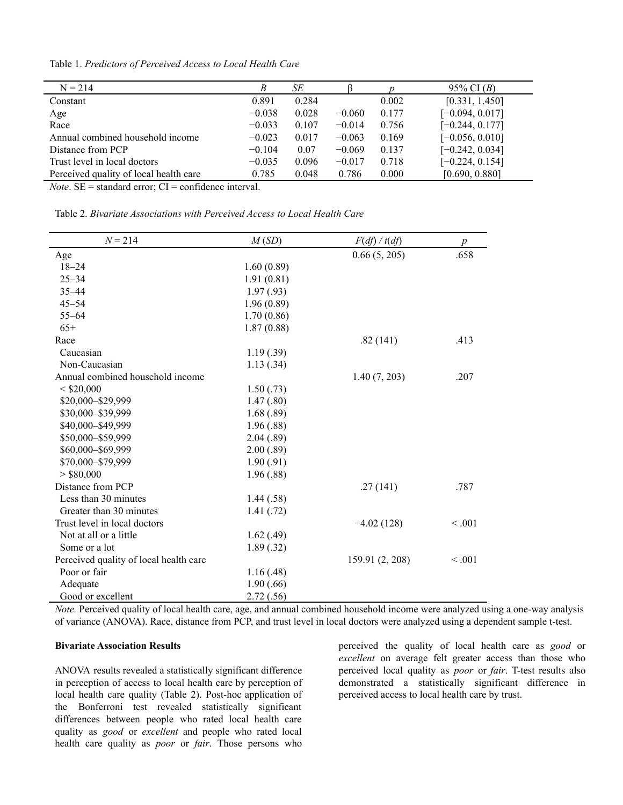Table 1. *Predictors of Perceived Access to Local Health Care*

| $N = 214$                              | B        | SE    |          |       | 95% CI $(B)$      |
|----------------------------------------|----------|-------|----------|-------|-------------------|
| Constant                               | 0.891    | 0.284 |          | 0.002 | [0.331, 1.450]    |
| Age                                    | $-0.038$ | 0.028 | $-0.060$ | 0.177 | $[-0.094, 0.017]$ |
| Race                                   | $-0.033$ | 0.107 | $-0.014$ | 0.756 | $[-0.244, 0.177]$ |
| Annual combined household income       | $-0.023$ | 0.017 | $-0.063$ | 0.169 | $[-0.056, 0.010]$ |
| Distance from PCP                      | $-0.104$ | 0.07  | $-0.069$ | 0.137 | $[-0.242, 0.034]$ |
| Trust level in local doctors           | $-0.035$ | 0.096 | $-0.017$ | 0.718 | $[-0.224, 0.154]$ |
| Perceived quality of local health care | 0.785    | 0.048 | 0.786    | 0.000 | [0.690, 0.880]    |
|                                        |          |       |          |       |                   |

*Note*.  $SE =$  standard error;  $CI =$  confidence interval.

Table 2. *Bivariate Associations with Perceived Access to Local Health Care*

| $N = 214$                              | M(SD)      | F(df) / t(df)   | $\boldsymbol{p}$ |
|----------------------------------------|------------|-----------------|------------------|
| Age                                    |            | 0.66(5, 205)    | .658             |
| $18 - 24$                              | 1.60(0.89) |                 |                  |
| $25 - 34$                              | 1.91(0.81) |                 |                  |
| $35 - 44$                              | 1.97(0.93) |                 |                  |
| $45 - 54$                              | 1.96(0.89) |                 |                  |
| $55 - 64$                              | 1.70(0.86) |                 |                  |
| $65+$                                  | 1.87(0.88) |                 |                  |
| Race                                   |            | .82(141)        | .413             |
| Caucasian                              | 1.19(.39)  |                 |                  |
| Non-Caucasian                          | 1.13(.34)  |                 |                  |
| Annual combined household income       |            | 1.40(7, 203)    | .207             |
| $<$ \$20,000                           | 1.50(.73)  |                 |                  |
| \$20,000-\$29,999                      | 1.47(.80)  |                 |                  |
| \$30,000-\$39,999                      | 1.68(.89)  |                 |                  |
| \$40,000-\$49,999                      | 1.96(.88)  |                 |                  |
| \$50,000-\$59,999                      | 2.04(.89)  |                 |                  |
| \$60,000-\$69,999                      | 2.00(.89)  |                 |                  |
| \$70,000-\$79,999                      | 1.90(.91)  |                 |                  |
| > \$80,000                             | 1.96(.88)  |                 |                  |
| Distance from PCP                      |            | .27(141)        | .787             |
| Less than 30 minutes                   | 1.44(.58)  |                 |                  |
| Greater than 30 minutes                | 1.41(.72)  |                 |                  |
| Trust level in local doctors           |            | $-4.02(128)$    | < 0.001          |
| Not at all or a little                 | 1.62(0.49) |                 |                  |
| Some or a lot                          | 1.89(.32)  |                 |                  |
| Perceived quality of local health care |            | 159.91 (2, 208) | < 0.001          |
| Poor or fair                           | 1.16(0.48) |                 |                  |
| Adequate                               | 1.90(.66)  |                 |                  |
| Good or excellent                      | 2.72(.56)  |                 |                  |

*Note.* Perceived quality of local health care, age, and annual combined household income were analyzed using a one-way analysis of variance (ANOVA). Race, distance from PCP, and trust level in local doctors were analyzed using a dependent sample t-test.

#### **Bivariate Association Results**

ANOVA results revealed a statistically significant difference in perception of access to local health care by perception of local health care quality (Table 2). Post-hoc application of the Bonferroni test revealed statistically significant differences between people who rated local health care quality as *good* or *excellent* and people who rated local health care quality as *poor* or *fair*. Those persons who

perceived the quality of local health care as *good* or *excellent* on average felt greater access than those who perceived local quality as *poor* or *fair*. T-test results also demonstrated a statistically significant difference in perceived access to local health care by trust.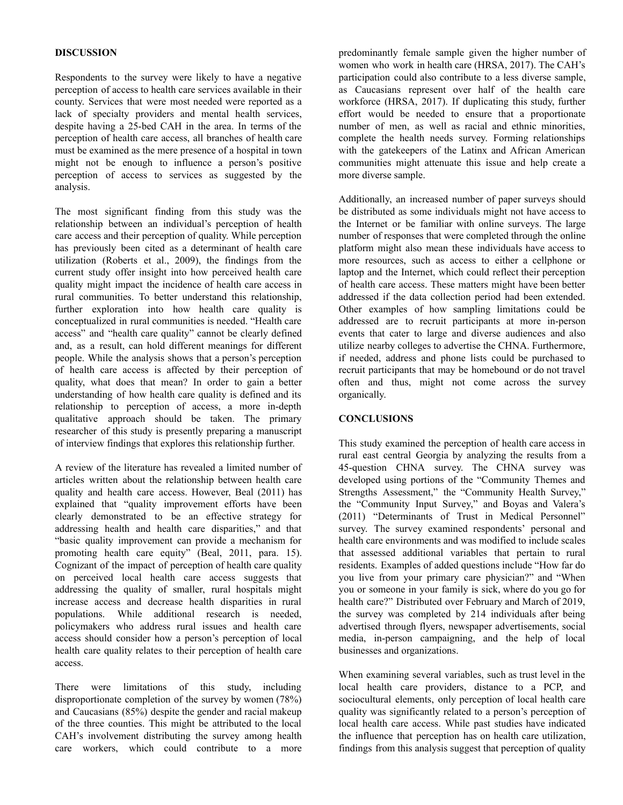## **DISCUSSION**

Respondents to the survey were likely to have a negative perception of access to health care services available in their county. Services that were most needed were reported as a lack of specialty providers and mental health services, despite having a 25-bed CAH in the area. In terms of the perception of health care access, all branches of health care must be examined as the mere presence of a hospital in town might not be enough to influence a person's positive perception of access to services as suggested by the analysis.

The most significant finding from this study was the relationship between an individual's perception of health care access and their perception of quality. While perception has previously been cited as a determinant of health care utilization (Roberts et al., 2009), the findings from the current study offer insight into how perceived health care quality might impact the incidence of health care access in rural communities. To better understand this relationship, further exploration into how health care quality is conceptualized in rural communities is needed. "Health care access" and "health care quality" cannot be clearly defined and, as a result, can hold different meanings for different people. While the analysis shows that a person's perception of health care access is affected by their perception of quality, what does that mean? In order to gain a better understanding of how health care quality is defined and its relationship to perception of access, a more in-depth qualitative approach should be taken. The primary researcher of this study is presently preparing a manuscript of interview findings that explores this relationship further.

A review of the literature has revealed a limited number of articles written about the relationship between health care quality and health care access. However, Beal (2011) has explained that "quality improvement efforts have been clearly demonstrated to be an effective strategy for addressing health and health care disparities," and that "basic quality improvement can provide a mechanism for promoting health care equity" (Beal, 2011, para. 15). Cognizant of the impact of perception of health care quality on perceived local health care access suggests that addressing the quality of smaller, rural hospitals might increase access and decrease health disparities in rural populations. While additional research is needed, policymakers who address rural issues and health care access should consider how a person's perception of local health care quality relates to their perception of health care access.

There were limitations of this study, including disproportionate completion of the survey by women (78%) and Caucasians (85%) despite the gender and racial makeup of the three counties. This might be attributed to the local CAH's involvement distributing the survey among health care workers, which could contribute to a more

predominantly female sample given the higher number of women who work in health care (HRSA, 2017). The CAH's participation could also contribute to a less diverse sample, as Caucasians represent over half of the health care workforce (HRSA, 2017). If duplicating this study, further effort would be needed to ensure that a proportionate number of men, as well as racial and ethnic minorities, complete the health needs survey. Forming relationships with the gatekeepers of the Latinx and African American communities might attenuate this issue and help create a more diverse sample.

Additionally, an increased number of paper surveys should be distributed as some individuals might not have access to the Internet or be familiar with online surveys. The large number of responses that were completed through the online platform might also mean these individuals have access to more resources, such as access to either a cellphone or laptop and the Internet, which could reflect their perception of health care access. These matters might have been better addressed if the data collection period had been extended. Other examples of how sampling limitations could be addressed are to recruit participants at more in-person events that cater to large and diverse audiences and also utilize nearby colleges to advertise the CHNA. Furthermore, if needed, address and phone lists could be purchased to recruit participants that may be homebound or do not travel often and thus, might not come across the survey organically.

### **CONCLUSIONS**

This study examined the perception of health care access in rural east central Georgia by analyzing the results from a 45-question CHNA survey. The CHNA survey was developed using portions of the "Community Themes and Strengths Assessment," the "Community Health Survey," the "Community Input Survey," and Boyas and Valera's (2011) "Determinants of Trust in Medical Personnel" survey. The survey examined respondents' personal and health care environments and was modified to include scales that assessed additional variables that pertain to rural residents. Examples of added questions include "How far do you live from your primary care physician?" and "When you or someone in your family is sick, where do you go for health care?" Distributed over February and March of 2019, the survey was completed by 214 individuals after being advertised through flyers, newspaper advertisements, social media, in-person campaigning, and the help of local businesses and organizations.

When examining several variables, such as trust level in the local health care providers, distance to a PCP, and sociocultural elements, only perception of local health care quality was significantly related to a person's perception of local health care access. While past studies have indicated the influence that perception has on health care utilization, findings from this analysis suggest that perception of quality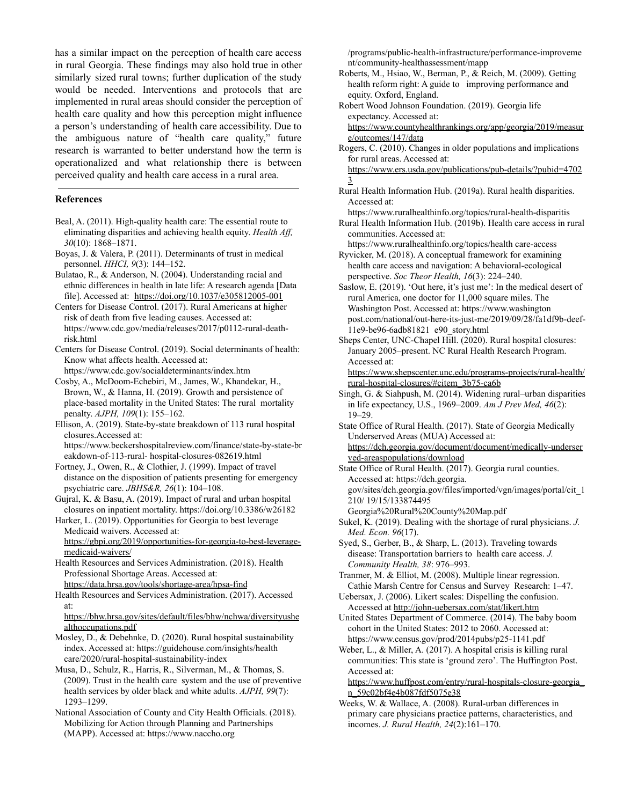has a similar impact on the perception of health care access in rural Georgia. These findings may also hold true in other similarly sized rural towns; further duplication of the study would be needed. Interventions and protocols that are implemented in rural areas should consider the perception of health care quality and how this perception might influence a person's understanding of health care accessibility. Due to the ambiguous nature of "health care quality," future research is warranted to better understand how the term is operationalized and what relationship there is between perceived quality and health care access in a rural area.

#### **References**

- Beal, A. (2011). High-quality health care: The essential route to eliminating disparities and achieving health equity. *Health Aff, 30*(10): 1868–1871.
- Boyas, J. & Valera, P. (2011). Determinants of trust in medical personnel. *HHCI, 9*(3): 144–152.
- Bulatao, R., & Anderson, N. (2004). Understanding racial and ethnic differences in health in late life: A research agenda [Data file]. Accessed at: <https://doi.org/10.1037/e305812005-001>
- Centers for Disease Control. (2017). Rural Americans at higher risk of death from five leading causes. Accessed at: https://www.cdc.gov/media/releases/2017/p0112-rural-deathrisk.html

Centers for Disease Control. (2019). Social determinants of health: Know what affects health. Accessed at:

https://www.cdc.gov/socialdeterminants/index.htm

Cosby, A., McDoom-Echebiri, M., James, W., Khandekar, H., Brown, W., & Hanna, H. (2019). Growth and persistence of place-based mortality in the United States: The rural mortality penalty. *AJPH, 109*(1): 155–162.

Ellison, A. (2019). State-by-state breakdown of 113 rural hospital closures.Accessed at:

https://www.beckershospitalreview.com/finance/state-by-state-br eakdown-of-113-rural- hospital-closures-082619.html

Fortney, J., Owen, R., & Clothier, J. (1999). Impact of travel distance on the disposition of patients presenting for emergency psychiatric care. *JBHS&R, 26*(1): 104–108.

Gujral, K. & Basu, A. (2019). Impact of rural and urban hospital closures on inpatient mortality. https://doi.org/10.3386/w26182

Harker, L. (2019). Opportunities for Georgia to best leverage Medicaid waivers. Accessed at: [https://gbpi.org/2019/opportunities-for-georgia-to-best-leverage-](https://gbpi.org/2019/opportunities-for-georgia-to-best-leverage-medicaid-waivers/)

[medicaid-waivers/](https://gbpi.org/2019/opportunities-for-georgia-to-best-leverage-medicaid-waivers/)

Health Resources and Services Administration. (2018). Health Professional Shortage Areas. Accessed at: <https://data.hrsa.gov/tools/shortage-area/hpsa-find>

Health Resources and Services Administration. (2017). Accessed at:

#### [https://bhw.hrsa.gov/sites/default/files/bhw/nchwa/diversityushe](https://bhw.hrsa.gov/sites/default/files/bhw/nchwa/diversityushealthoccupations.pdf) [althoccupations.pdf](https://bhw.hrsa.gov/sites/default/files/bhw/nchwa/diversityushealthoccupations.pdf)

- Mosley, D., & Debehnke, D. (2020). Rural hospital sustainability index. Accessed at: https://guidehouse.com/insights/health care/2020/rural-hospital-sustainability-index
- Musa, D., Schulz, R., Harris, R., Silverman, M., & Thomas, S. (2009). Trust in the health care system and the use of preventive health services by older black and white adults. *AJPH, 99*(7): 1293–1299.

National Association of County and City Health Officials. (2018). Mobilizing for Action through Planning and Partnerships (MAPP). Accessed at: https://www.naccho.org

/programs/public-health-infrastructure/performance-improveme nt/community-healthassessment/mapp

- Roberts, M., Hsiao, W., Berman, P., & Reich, M. (2009). Getting health reform right: A guide to improving performance and equity. Oxford, England.
- Robert Wood Johnson Foundation. (2019). Georgia life expectancy. Accessed at:

[https://www.countyhealthrankings.org/app/georgia/2019/measur](https://www.countyhealthrankings.org/app/georgia/2019/measure/outcomes/147/data) [e/outcomes/147/data](https://www.countyhealthrankings.org/app/georgia/2019/measure/outcomes/147/data)

Rogers, C. (2010). Changes in older populations and implications for rural areas. Accessed at:

[https://www.ers.usda.gov/publications/pub-details/?pubid=4702](https://www.ers.usda.gov/publications/pub-details/?pubid=47023) [3](https://www.ers.usda.gov/publications/pub-details/?pubid=47023)

Rural Health Information Hub. (2019a). Rural health disparities. Accessed at:

https://www.ruralhealthinfo.org/topics/rural-health-disparitis

Rural Health Information Hub. (2019b). Health care access in rural communities. Accessed at:

https://www.ruralhealthinfo.org/topics/health care-access

Ryvicker, M. (2018). A conceptual framework for examining health care access and navigation: A behavioral-ecological perspective. *Soc Theor Health, 16*(3): 224–240.

Saslow, E. (2019). 'Out here, it's just me': In the medical desert of rural America, one doctor for 11,000 square miles. The Washington Post. Accessed at: https://www.washington post.com/national/out-here-its-just-me/2019/09/28/fa1df9b-deef-11e9-be96-6adb81821 e90\_story.html

Sheps Center, UNC-Chapel Hill. (2020). Rural hospital closures: January 2005–present. NC Rural Health Research Program. Accessed at:

[https://www.shepscenter.unc.edu/programs-projects/rural-health/](https://www.shepscenter.unc.edu/programs-projects/rural-health/rural-hospital-closures/#citem_3b75-ca6b) [rural-hospital-closures/#citem\\_3b75-ca6b](https://www.shepscenter.unc.edu/programs-projects/rural-health/rural-hospital-closures/#citem_3b75-ca6b)

- Singh, G. & Siahpush, M. (2014). Widening rural–urban disparities in life expectancy, U.S., 1969–2009. *Am J Prev Med, 46*(2): 19–29.
- State Office of Rural Health. (2017). State of Georgia Medically Underserved Areas (MUA) Accessed at:

[https://dch.georgia.gov/document/document/medically-underser](https://dch.georgia.gov/document/document/medically-underserved-areaspopulations/download) [ved-areaspopulations/download](https://dch.georgia.gov/document/document/medically-underserved-areaspopulations/download)

State Office of Rural Health. (2017). Georgia rural counties. Accessed at: https://dch.georgia. gov/sites/dch.georgia.gov/files/imported/vgn/images/portal/cit\_1 210/ 19/15/133874495 Georgia%20Rural%20County%20Map.pdf

- Sukel, K. (2019). Dealing with the shortage of rural physicians. *J. Med. Econ. 96*(17).
- Syed, S., Gerber, B., & Sharp, L. (2013). Traveling towards disease: Transportation barriers to health care access. *J. Community Health, 38*: 976–993.
- Tranmer, M. & Elliot, M. (2008). Multiple linear regression. Cathie Marsh Centre for Census and Survey Research: 1–47.
- Uebersax, J. (2006). Likert scales: Dispelling the confusion. Accessed at <http://john-uebersax.com/stat/likert.htm>
- United States Department of Commerce. (2014). The baby boom cohort in the United States: 2012 to 2060. Accessed at: https://www.census.gov/prod/2014pubs/p25-1141.pdf

Weber, L., & Miller, A. (2017). A hospital crisis is killing rural communities: This state is 'ground zero'. The Huffington Post. Accessed at:

[https://www.huffpost.com/entry/rural-hospitals-closure-georgia\\_](https://www.huffpost.com/entry/rural-hospitals-closure-georgia_n_59c02bf4e4b087fdf5075e38) [n\\_59c02bf4e4b087fdf5075e38](https://www.huffpost.com/entry/rural-hospitals-closure-georgia_n_59c02bf4e4b087fdf5075e38)

Weeks, W. & Wallace, A. (2008). Rural-urban differences in primary care physicians practice patterns, characteristics, and incomes. *J. Rural Health, 24*(2):161–170.